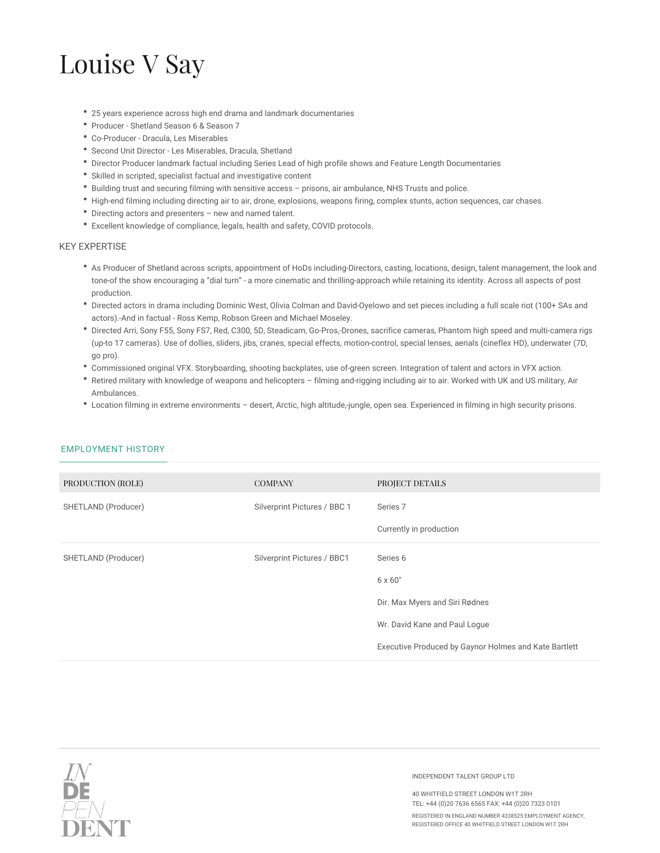## Louise V Say

- 25 years experience across high end drama and landmark documentaries
- Producer Shetland Season 6 & Season 7
- Co-Producer Dracula, Les Miserables
- Second Unit Director Les Miserables, Dracula, Shetland
- Director Producer landmark factual including Series Lead of high profile shows and Feature Length Documentaries
- Skilled in scripted, specialist factual and investigative content
- Building trust and securing filming with sensitive access prisons, air ambulance, NHS Trusts and police.
- High-end filming including directing air to air, drone, explosions, weapons firing, complex stunts, action sequences, car chases.
- Directing actors and presenters new and named talent.
- Excellent knowledge of compliance, legals, health and safety, COVID protocols.

## KEY EXPERTISE

- As Producer of Shetland across scripts, appointment of HoDs including-Directors, casting, locations, design, talent management, the look and tone of the show encouraging a "dial turn" - a more cinematic and thrilling approach while retaining its identity. Across all aspects of post production.
- Directed actors in drama including Dominic West, Olivia Colman and David Oyelowo and set pieces including a full scale riot (100+ SAs and actors). And in factual - Ross Kemp, Robson Green and Michael Moseley.
- Directed Arri, Sony F55, Sony FS7, Red, C300, 5D, Steadicam, Go-Pros, Drones, sacrifice cameras, Phantom high speed and multi-camera rigs (up to 17 cameras). Use of dollies, sliders, jibs, cranes, special effects, motion control, special lenses, aerials (cineflex HD), underwater (7D, go pro).
- Commissioned original VFX. Storyboarding, shooting backplates, use of green screen. Integration of talent and actors in VFX action.
- Retired military with knowledge of weapons and helicopters filming and rigging including air to air. Worked with UK and US military, Air Ambulances.
- Location filming in extreme environments desert, Arctic, high altitude, jungle, open sea. Experienced in filming in high security prisons.

| PRODUCTION (ROLE)   | <b>COMPANY</b>               | PROJECT DETAILS                                       |
|---------------------|------------------------------|-------------------------------------------------------|
| SHETLAND (Producer) | Silverprint Pictures / BBC 1 | Series <sub>7</sub>                                   |
|                     |                              | Currently in production                               |
| SHETLAND (Producer) | Silverprint Pictures / BBC1  | Series 6                                              |
|                     |                              | $6 \times 60"$                                        |
|                     |                              | Dir. Max Myers and Siri Rødnes                        |
|                     |                              | Wr. David Kane and Paul Logue                         |
|                     |                              | Executive Produced by Gaynor Holmes and Kate Bartlett |

## EMPLOYMENT HISTORY



INDEPENDENT TALENT GROUP LTD

40 WHITFIELD STREET LONDON W1T 2RH TEL: +44 (0)20 7636 6565 FAX: +44 (0)20 7323 0101

REGISTERED IN ENGLAND NUMBER 4338525 EMPLOYMENT AGENCY, REGISTERED OFFICE 40 WHITFIELD STREET LONDON W1T 2RH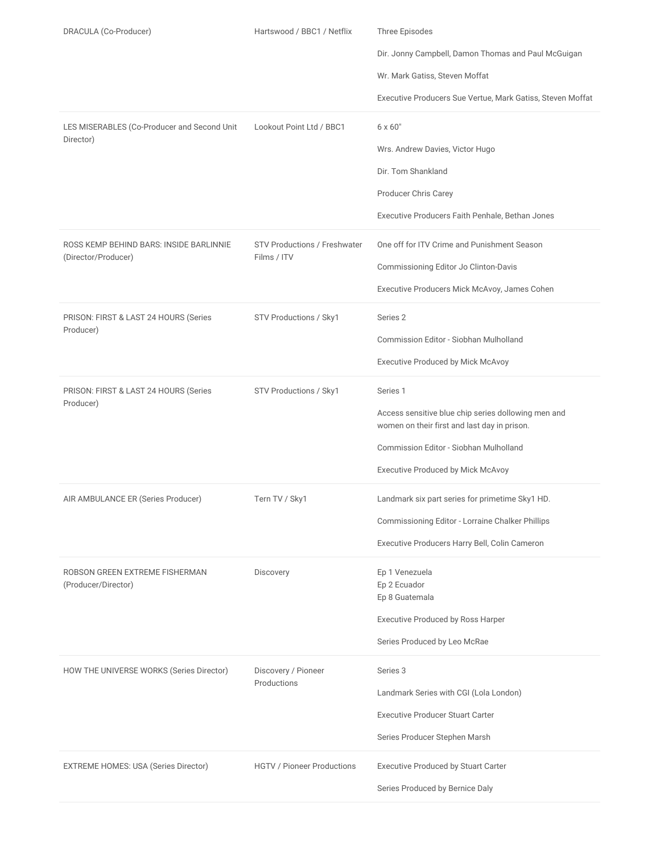| DRACULA (Co-Producer)<br>LES MISERABLES (Co-Producer and Second Unit<br>Director) | Hartswood / BBC1 / Netflix<br>Lookout Point Ltd / BBC1 | Three Episodes<br>Dir. Jonny Campbell, Damon Thomas and Paul McGuigan<br>Wr. Mark Gatiss, Steven Moffat<br>Executive Producers Sue Vertue, Mark Gatiss, Steven Moffat<br>$6 \times 60"$<br>Wrs. Andrew Davies, Victor Hugo<br>Dir. Tom Shankland<br>Producer Chris Carey<br>Executive Producers Faith Penhale, Bethan Jones |
|-----------------------------------------------------------------------------------|--------------------------------------------------------|-----------------------------------------------------------------------------------------------------------------------------------------------------------------------------------------------------------------------------------------------------------------------------------------------------------------------------|
| ROSS KEMP BEHIND BARS: INSIDE BARLINNIE<br>(Director/Producer)                    | <b>STV Productions / Freshwater</b><br>Films / ITV     | One off for ITV Crime and Punishment Season<br>Commissioning Editor Jo Clinton-Davis<br>Executive Producers Mick McAvoy, James Cohen                                                                                                                                                                                        |
| PRISON: FIRST & LAST 24 HOURS (Series<br>Producer)                                | STV Productions / Sky1                                 | Series 2<br>Commission Editor - Siobhan Mulholland<br>Executive Produced by Mick McAvoy                                                                                                                                                                                                                                     |
| PRISON: FIRST & LAST 24 HOURS (Series<br>Producer)                                | STV Productions / Sky1                                 | Series <sub>1</sub><br>Access sensitive blue chip series dollowing men and<br>women on their first and last day in prison.<br>Commission Editor - Siobhan Mulholland<br><b>Executive Produced by Mick McAvoy</b>                                                                                                            |
| AIR AMBULANCE ER (Series Producer)                                                | Tern TV / Sky1                                         | Landmark six part series for primetime Sky1 HD.<br>Commissioning Editor - Lorraine Chalker Phillips<br>Executive Producers Harry Bell, Colin Cameron                                                                                                                                                                        |
| ROBSON GREEN EXTREME FISHERMAN<br>(Producer/Director)                             | Discovery                                              | Ep 1 Venezuela<br>Ep 2 Ecuador<br>Ep 8 Guatemala<br>Executive Produced by Ross Harper<br>Series Produced by Leo McRae                                                                                                                                                                                                       |
| HOW THE UNIVERSE WORKS (Series Director)                                          | Discovery / Pioneer<br>Productions                     | Series 3<br>Landmark Series with CGI (Lola London)<br><b>Executive Producer Stuart Carter</b><br>Series Producer Stephen Marsh                                                                                                                                                                                              |
| EXTREME HOMES: USA (Series Director)                                              | <b>HGTV / Pioneer Productions</b>                      | <b>Executive Produced by Stuart Carter</b><br>Series Produced by Bernice Daly                                                                                                                                                                                                                                               |